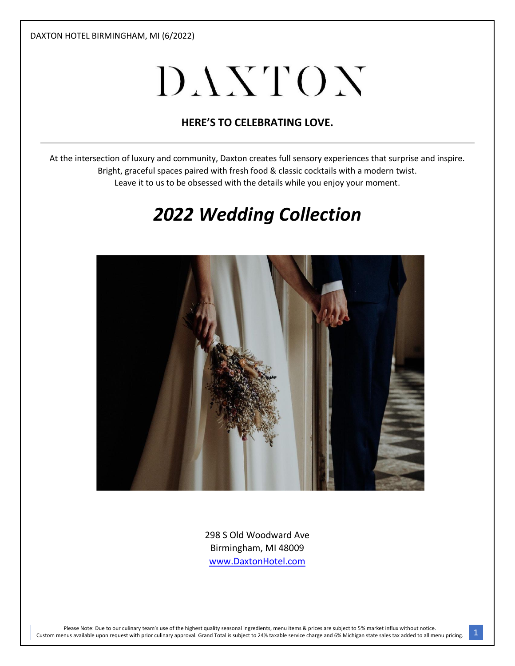# DAXTON

# **HERE'S TO CELEBRATING LOVE.**

At the intersection of luxury and community, Daxton creates full sensory experiences that surprise and inspire. Bright, graceful spaces paired with fresh food & classic cocktails with a modern twist. Leave it to us to be obsessed with the details while you enjoy your moment.

# *2022 Wedding Collection*



298 S Old Woodward Ave Birmingham, MI 48009 [www.DaxtonHotel.com](http://www.daxtonhotel.com/)

Please Note: Due to our culinary team's use of the highest quality seasonal ingredients, menu items & prices are subject to 5% market influx without notice. riease Note: Due to our culinary team suse of the nighest quality seasonal ingredients, menu tiems & prices are subject to 25% market imux without notice.<br>Custom menus available upon request with prior culinary approval. G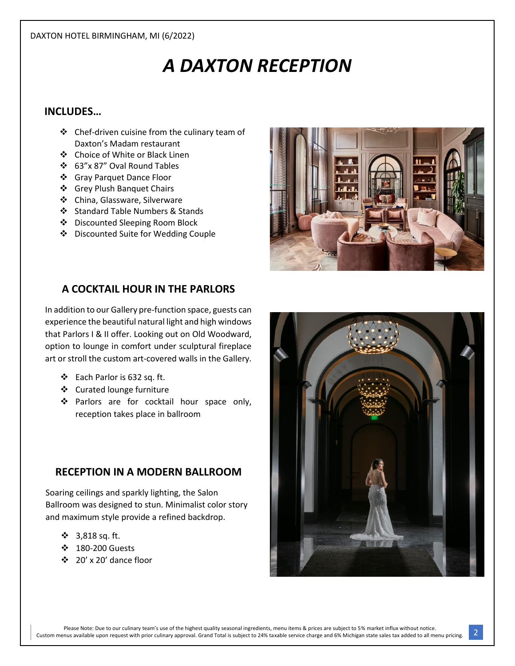# *A DAXTON RECEPTION*

#### **INCLUDES…**

- ❖ Chef-driven cuisine from the culinary team of Daxton's Madam restaurant
- ❖ Choice of White or Black Linen
- ❖ 63"x 87" Oval Round Tables
- ❖ Gray Parquet Dance Floor
- ❖ Grey Plush Banquet Chairs
- ❖ China, Glassware, Silverware
- ❖ Standard Table Numbers & Stands
- ❖ Discounted Sleeping Room Block
- ❖ Discounted Suite for Wedding Couple



# **A COCKTAIL HOUR IN THE PARLORS**

In addition to our Gallery pre-function space, guests can experience the beautiful natural light and high windows that Parlors I & II offer. Looking out on Old Woodward, option to lounge in comfort under sculptural fireplace art or stroll the custom art-covered walls in the Gallery.

- ❖ Each Parlor is 632 sq. ft.
- ❖ Curated lounge furniture
- ❖ Parlors are for cocktail hour space only, reception takes place in ballroom

## **RECEPTION IN A MODERN BALLROOM**

Soaring ceilings and sparkly lighting, the Salon Ballroom was designed to stun. Minimalist color story and maximum style provide a refined backdrop.

- ❖ 3,818 sq. ft.
- ❖ 180-200 Guests
- ❖ 20' x 20' dance floor

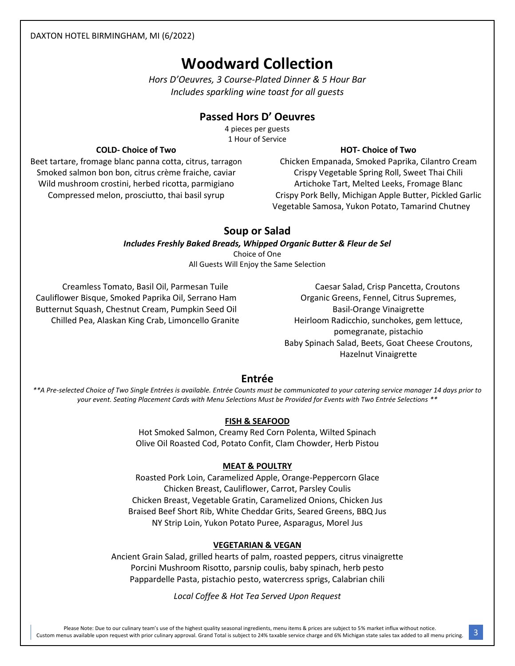# **Woodward Collection**

*Hors D'Oeuvres, 3 Course-Plated Dinner & 5 Hour Bar Includes sparkling wine toast for all guests*

# **Passed Hors D' Oeuvres**

4 pieces per guests 1 Hour of Service

#### **COLD- Choice of Two**

Beet tartare, fromage blanc panna cotta, citrus, tarragon Smoked salmon bon bon, citrus crème fraiche, caviar Wild mushroom crostini, herbed ricotta, parmigiano Compressed melon, prosciutto, thai basil syrup

#### **HOT- Choice of Two**

Chicken Empanada, Smoked Paprika, Cilantro Cream Crispy Vegetable Spring Roll, Sweet Thai Chili Artichoke Tart, Melted Leeks, Fromage Blanc Crispy Pork Belly, Michigan Apple Butter, Pickled Garlic Vegetable Samosa, Yukon Potato, Tamarind Chutney

# **Soup or Salad**

#### *Includes Freshly Baked Breads, Whipped Organic Butter & Fleur de Sel*

Choice of One All Guests Will Enjoy the Same Selection

Creamless Tomato, Basil Oil, Parmesan Tuile Cauliflower Bisque, Smoked Paprika Oil, Serrano Ham Butternut Squash, Chestnut Cream, Pumpkin Seed Oil Chilled Pea, Alaskan King Crab, Limoncello Granite

Caesar Salad, Crisp Pancetta, Croutons Organic Greens, Fennel, Citrus Supremes, Basil-Orange Vinaigrette Heirloom Radicchio, sunchokes, gem lettuce, pomegranate, pistachio Baby Spinach Salad, Beets, Goat Cheese Croutons, Hazelnut Vinaigrette

## **Entrée**

*\*\*A Pre-selected Choice of Two Single Entrées is available. Entrée Counts must be communicated to your catering service manager 14 days prior to your event. Seating Placement Cards with Menu Selections Must be Provided for Events with Two Entrée Selections \*\**

#### **FISH & SEAFOOD**

Hot Smoked Salmon, Creamy Red Corn Polenta, Wilted Spinach Olive Oil Roasted Cod, Potato Confit, Clam Chowder, Herb Pistou

#### **MEAT & POULTRY**

Roasted Pork Loin, Caramelized Apple, Orange-Peppercorn Glace Chicken Breast, Cauliflower, Carrot, Parsley Coulis Chicken Breast, Vegetable Gratin, Caramelized Onions, Chicken Jus Braised Beef Short Rib, White Cheddar Grits, Seared Greens, BBQ Jus NY Strip Loin, Yukon Potato Puree, Asparagus, Morel Jus

#### **VEGETARIAN & VEGAN**

Ancient Grain Salad, grilled hearts of palm, roasted peppers, citrus vinaigrette Porcini Mushroom Risotto, parsnip coulis, baby spinach, herb pesto Pappardelle Pasta, pistachio pesto, watercress sprigs, Calabrian chili

*Local Coffee & Hot Tea Served Upon Request*

Please Note: Due to our culinary team's use of the highest quality seasonal ingredients, menu items & prices are subject to 5% market influx without notice. Prease Note: Due to our culinary team's use of the nighest quality seasonal ingredients, menu items & prices are subject to 5% market influx without notice.<br>Custom menus available upon request with prior culinary approval.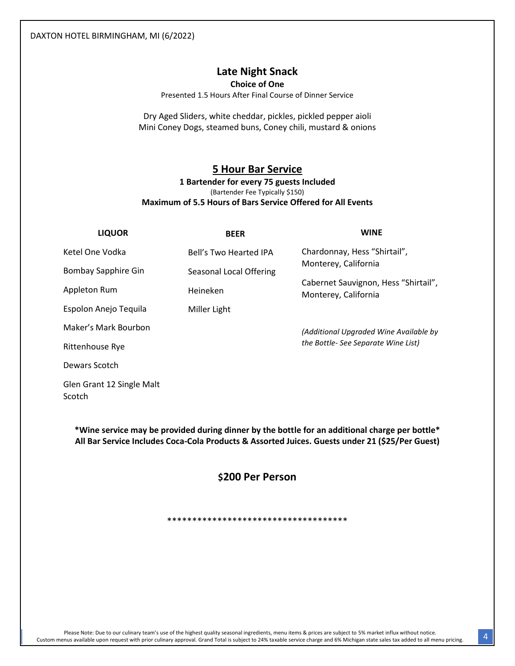# **Late Night Snack**

# **Choice of One**

Presented 1.5 Hours After Final Course of Dinner Service

Dry Aged Sliders, white cheddar, pickles, pickled pepper aioli Mini Coney Dogs, steamed buns, Coney chili, mustard & onions

## **5 Hour Bar Service**

#### **1 Bartender for every 75 guests Included** (Bartender Fee Typically \$150) **Maximum of 5.5 Hours of Bars Service Offered for All Events**

| <b>LIQUOR</b>                       | <b>BEER</b>                    | <b>WINE</b>                                                  |  |
|-------------------------------------|--------------------------------|--------------------------------------------------------------|--|
| Ketel One Vodka                     | Bell's Two Hearted IPA         | Chardonnay, Hess "Shirtail",<br>Monterey, California         |  |
| Bombay Sapphire Gin                 | <b>Seasonal Local Offering</b> |                                                              |  |
| Appleton Rum                        | Heineken                       | Cabernet Sauvignon, Hess "Shirtail",<br>Monterey, California |  |
| Espolon Anejo Tequila               | Miller Light                   |                                                              |  |
| Maker's Mark Bourbon                |                                | (Additional Uparaded Wine Available by                       |  |
| Rittenhouse Rye                     |                                | the Bottle-See Separate Wine List)                           |  |
| Dewars Scotch                       |                                |                                                              |  |
| Glen Grant 12 Single Malt<br>Scotch |                                |                                                              |  |

**\*Wine service may be provided during dinner by the bottle for an additional charge per bottle\* All Bar Service Includes Coca-Cola Products & Assorted Juices. Guests under 21 (\$25/Per Guest)**

## **\$200 Per Person**

\*\*\*\*\*\*\*\*\*\*\*\*\*\*\*\*\*\*\*\*\*\*\*\*\*\*\*\*\*\*\*\*\*\*\*\*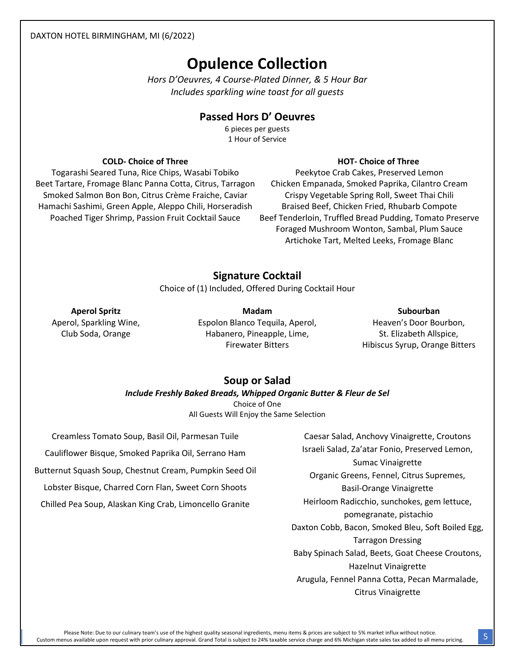# **Opulence Collection**

*Hors D'Oeuvres, 4 Course-Plated Dinner, & 5 Hour Bar Includes sparkling wine toast for all guests*

## **Passed Hors D' Oeuvres**

6 pieces per guests 1 Hour of Service

#### **COLD- Choice of Three**

Togarashi Seared Tuna, Rice Chips, Wasabi Tobiko Beet Tartare, Fromage Blanc Panna Cotta, Citrus, Tarragon Smoked Salmon Bon Bon, Citrus Crème Fraiche, Caviar Hamachi Sashimi, Green Apple, Aleppo Chili, Horseradish Poached Tiger Shrimp, Passion Fruit Cocktail Sauce

#### **HOT- Choice of Three**

Peekytoe Crab Cakes, Preserved Lemon Chicken Empanada, Smoked Paprika, Cilantro Cream Crispy Vegetable Spring Roll, Sweet Thai Chili Braised Beef, Chicken Fried, Rhubarb Compote Beef Tenderloin, Truffled Bread Pudding, Tomato Preserve Foraged Mushroom Wonton, Sambal, Plum Sauce Artichoke Tart, Melted Leeks, Fromage Blanc

#### **Signature Cocktail**

Choice of (1) Included, Offered During Cocktail Hour

**Aperol Spritz** Aperol, Sparkling Wine, Club Soda, Orange

**Madam** Espolon Blanco Tequila, Aperol, Habanero, Pineapple, Lime, Firewater Bitters

#### **Subourban** Heaven's Door Bourbon, St. Elizabeth Allspice, Hibiscus Syrup, Orange Bitters

# **Soup or Salad**

*Include Freshly Baked Breads, Whipped Organic Butter & Fleur de Sel*

Choice of One All Guests Will Enjoy the Same Selection

Creamless Tomato Soup, Basil Oil, Parmesan Tuile Cauliflower Bisque, Smoked Paprika Oil, Serrano Ham Butternut Squash Soup, Chestnut Cream, Pumpkin Seed Oil Lobster Bisque, Charred Corn Flan, Sweet Corn Shoots Chilled Pea Soup, Alaskan King Crab, Limoncello Granite

Caesar Salad, Anchovy Vinaigrette, Croutons Israeli Salad, Za'atar Fonio, Preserved Lemon, Sumac Vinaigrette Organic Greens, Fennel, Citrus Supremes, Basil-Orange Vinaigrette Heirloom Radicchio, sunchokes, gem lettuce, pomegranate, pistachio Daxton Cobb, Bacon, Smoked Bleu, Soft Boiled Egg, Tarragon Dressing Baby Spinach Salad, Beets, Goat Cheese Croutons, Hazelnut Vinaigrette Arugula, Fennel Panna Cotta, Pecan Marmalade, Citrus Vinaigrette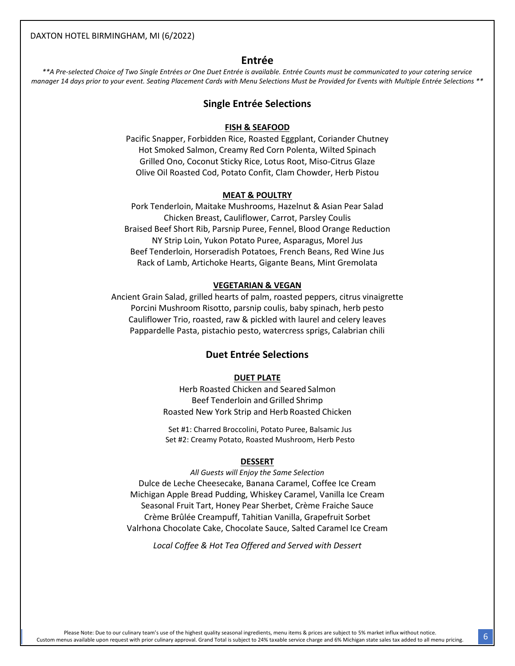#### DAXTON HOTEL BIRMINGHAM, MI (6/2022)

#### **Entrée**

*\*\*A Pre-selected Choice of Two Single Entrées or One Duet Entrée is available. Entrée Counts must be communicated to your catering service manager 14 days prior to your event. Seating Placement Cards with Menu Selections Must be Provided for Events with Multiple Entrée Selections \*\**

#### **Single Entrée Selections**

#### **FISH & SEAFOOD**

Pacific Snapper, Forbidden Rice, Roasted Eggplant, Coriander Chutney Hot Smoked Salmon, Creamy Red Corn Polenta, Wilted Spinach Grilled Ono, Coconut Sticky Rice, Lotus Root, Miso-Citrus Glaze Olive Oil Roasted Cod, Potato Confit, Clam Chowder, Herb Pistou

#### **MEAT & POULTRY**

Pork Tenderloin, Maitake Mushrooms, Hazelnut & Asian Pear Salad Chicken Breast, Cauliflower, Carrot, Parsley Coulis Braised Beef Short Rib, Parsnip Puree, Fennel, Blood Orange Reduction NY Strip Loin, Yukon Potato Puree, Asparagus, Morel Jus Beef Tenderloin, Horseradish Potatoes, French Beans, Red Wine Jus Rack of Lamb, Artichoke Hearts, Gigante Beans, Mint Gremolata

#### **VEGETARIAN & VEGAN**

Ancient Grain Salad, grilled hearts of palm, roasted peppers, citrus vinaigrette Porcini Mushroom Risotto, parsnip coulis, baby spinach, herb pesto Cauliflower Trio, roasted, raw & pickled with laurel and celery leaves Pappardelle Pasta, pistachio pesto, watercress sprigs, Calabrian chili

#### **Duet Entrée Selections**

#### **DUET PLATE**

Herb Roasted Chicken and Seared Salmon Beef Tenderloin and Grilled Shrimp Roasted New York Strip and Herb Roasted Chicken

Set #1: Charred Broccolini, Potato Puree, Balsamic Jus Set #2: Creamy Potato, Roasted Mushroom, Herb Pesto

#### **DESSERT**

*All Guests will Enjoy the Same Selection* Dulce de Leche Cheesecake, Banana Caramel, Coffee Ice Cream Michigan Apple Bread Pudding, Whiskey Caramel, Vanilla Ice Cream Seasonal Fruit Tart, Honey Pear Sherbet, Crème Fraiche Sauce Crème Brûlée Creampuff, Tahitian Vanilla, Grapefruit Sorbet Valrhona Chocolate Cake, Chocolate Sauce, Salted Caramel Ice Cream

*Local Coffee & Hot Tea Offered and Served with Dessert*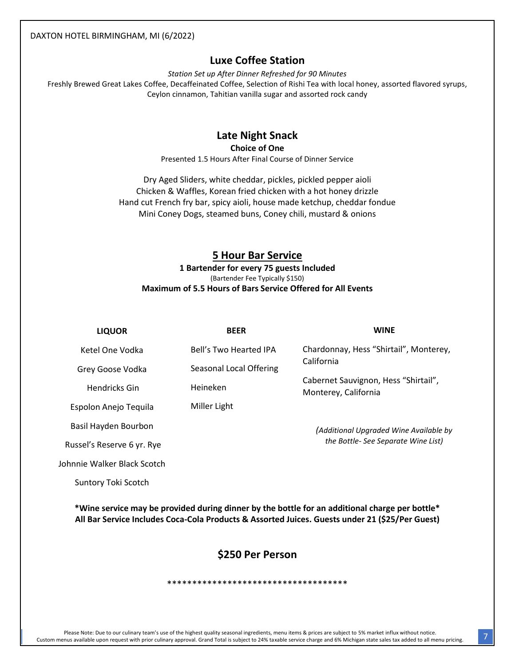#### DAXTON HOTEL BIRMINGHAM, MI (6/2022)

## **Luxe Coffee Station**

*Station Set up After Dinner Refreshed for 90 Minutes* Freshly Brewed Great Lakes Coffee, Decaffeinated Coffee, Selection of Rishi Tea with local honey, assorted flavored syrups, Ceylon cinnamon, Tahitian vanilla sugar and assorted rock candy

# **Late Night Snack**

**Choice of One** 

Presented 1.5 Hours After Final Course of Dinner Service

Dry Aged Sliders, white cheddar, pickles, pickled pepper aioli Chicken & Waffles, Korean fried chicken with a hot honey drizzle Hand cut French fry bar, spicy aioli, house made ketchup, cheddar fondue Mini Coney Dogs, steamed buns, Coney chili, mustard & onions

#### **5 Hour Bar Service 1 Bartender for every 75 guests Included** (Bartender Fee Typically \$150) **Maximum of 5.5 Hours of Bars Service Offered for All Events**

| <b>LIQUOR</b>               | <b>BEER</b>             | <b>WINE</b>                                                                  |
|-----------------------------|-------------------------|------------------------------------------------------------------------------|
| Ketel One Vodka             | Bell's Two Hearted IPA  | Chardonnay, Hess "Shirtail", Monterey,<br>California                         |
| Grey Goose Vodka            | Seasonal Local Offering |                                                                              |
| Hendricks Gin               | Heineken                | Cabernet Sauvignon, Hess "Shirtail",<br>Monterey, California                 |
| Espolon Anejo Tequila       | Miller Light            |                                                                              |
| Basil Hayden Bourbon        |                         | (Additional Uparaded Wine Available by<br>the Bottle-See Separate Wine List) |
| Russel's Reserve 6 yr. Rye  |                         |                                                                              |
| Johnnie Walker Black Scotch |                         |                                                                              |
| Suntory Toki Scotch         |                         |                                                                              |

**\*Wine service may be provided during dinner by the bottle for an additional charge per bottle\* All Bar Service Includes Coca-Cola Products & Assorted Juices. Guests under 21 (\$25/Per Guest)**

## **\$250 Per Person**

#### \*\*\*\*\*\*\*\*\*\*\*\*\*\*\*\*\*\*\*\*\*\*\*\*\*\*\*\*\*\*\*\*\*\*\*\*

Please Note: Due to our culinary team's use of the highest quality seasonal ingredients, menu items & prices are subject to 5% market influx without notice. Custom menus available upon request with prior culinary approval. Grand Total is subject to 24% taxable service charge and 6% Michigan state sales tax added to all menu pricing. 7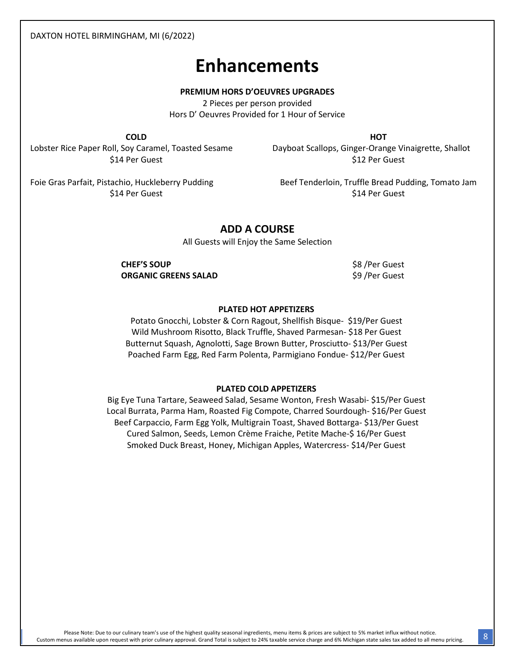# **Enhancements**

#### **PREMIUM HORS D'OEUVRES UPGRADES**

2 Pieces per person provided Hors D' Oeuvres Provided for 1 Hour of Service

**COLD** Lobster Rice Paper Roll, Soy Caramel, Toasted Sesame \$14 Per Guest

**HOT** Dayboat Scallops, Ginger-Orange Vinaigrette, Shallot \$12 Per Guest

Foie Gras Parfait, Pistachio, Huckleberry Pudding \$14 Per Guest

Beef Tenderloin, Truffle Bread Pudding, Tomato Jam \$14 Per Guest

#### **ADD A COURSE**

All Guests will Enjoy the Same Selection

**CHEF'S SOUP** \$8 /Per Guest **ORGANIC GREENS SALAD** \$9 /Per Guest

#### **PLATED HOT APPETIZERS**

Potato Gnocchi, Lobster & Corn Ragout, Shellfish Bisque- \$19/Per Guest Wild Mushroom Risotto, Black Truffle, Shaved Parmesan- \$18 Per Guest Butternut Squash, Agnolotti, Sage Brown Butter, Prosciutto- \$13/Per Guest Poached Farm Egg, Red Farm Polenta, Parmigiano Fondue- \$12/Per Guest

#### **PLATED COLD APPETIZERS**

Big Eye Tuna Tartare, Seaweed Salad, Sesame Wonton, Fresh Wasabi- \$15/Per Guest Local Burrata, Parma Ham, Roasted Fig Compote, Charred Sourdough- \$16/Per Guest Beef Carpaccio, Farm Egg Yolk, Multigrain Toast, Shaved Bottarga- \$13/Per Guest Cured Salmon, Seeds, Lemon Crème Fraiche, Petite Mache-\$ 16/Per Guest Smoked Duck Breast, Honey, Michigan Apples, Watercress- \$14/Per Guest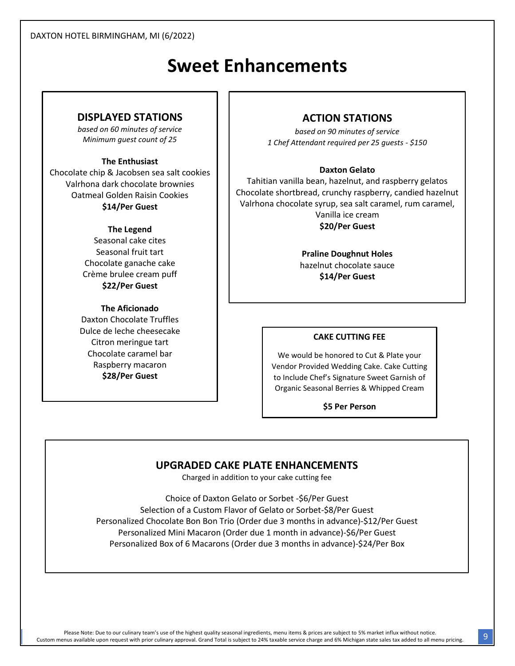# **Sweet Enhancements**

# **DISPLAYED STATIONS**

*based on 60 minutes of service Minimum guest count of 25*

#### **The Enthusiast**

Chocolate chip & Jacobsen sea salt cookies Valrhona dark chocolate brownies Oatmeal Golden Raisin Cookies **\$14/Per Guest**

#### **The Legend**

Seasonal cake cites Seasonal fruit tart Chocolate ganache cake Crème brulee cream puff **\$22/Per Guest**

#### **The Aficionado**

Daxton Chocolate Truffles Dulce de leche cheesecake Citron meringue tart Chocolate caramel bar Raspberry macaron **\$28/Per Guest**

# **ACTION STATIONS**

*based on 90 minutes of service 1 Chef Attendant required per 25 guests - \$150*

#### **Daxton Gelato**

Tahitian vanilla bean, hazelnut, and raspberry gelatos Chocolate shortbread, crunchy raspberry, candied hazelnut Valrhona chocolate syrup, sea salt caramel, rum caramel, Vanilla ice cream **\$20/Per Guest**

> **Praline Doughnut Holes** hazelnut chocolate sauce **\$14/Per Guest**

#### **CAKE CUTTING FEE**

We would be honored to Cut & Plate your Vendor Provided Wedding Cake. Cake Cutting to Include Chef's Signature Sweet Garnish of Organic Seasonal Berries & Whipped Cream

**\$5 Per Person**

# **UPGRADED CAKE PLATE ENHANCEMENTS**

Charged in addition to your cake cutting fee

Choice of Daxton Gelato or Sorbet -\$6/Per Guest Selection of a Custom Flavor of Gelato or Sorbet-\$8/Per Guest Personalized Chocolate Bon Bon Trio (Order due 3 months in advance)-\$12/Per Guest Personalized Mini Macaron (Order due 1 month in advance)-\$6/Per Guest Personalized Box of 6 Macarons (Order due 3 months in advance)-\$24/Per Box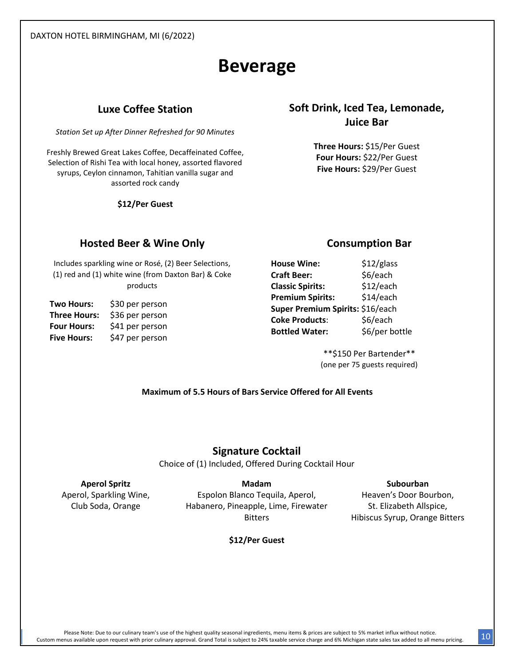# **Beverage**

# **Luxe Coffee Station**

*Station Set up After Dinner Refreshed for 90 Minutes*

Freshly Brewed Great Lakes Coffee, Decaffeinated Coffee, Selection of Rishi Tea with local honey, assorted flavored syrups, Ceylon cinnamon, Tahitian vanilla sugar and assorted rock candy

**\$12/Per Guest**

# **Soft Drink, Iced Tea, Lemonade, Juice Bar**

**Three Hours:** \$15/Per Guest **Four Hours:** \$22/Per Guest **Five Hours:** \$29/Per Guest

# **Hosted Beer & Wine Only**

Includes sparkling wine or Rosé, (2) Beer Selections, (1) red and (1) white wine (from Daxton Bar) & Coke products

**Two Hours:** \$30 per person **Three Hours:** \$36 per person Four Hours: \$41 per person Five Hours: \$47 per person

# **Consumption Bar**

| <b>House Wine:</b>               | $$12/g$ lass   |
|----------------------------------|----------------|
| <b>Craft Beer:</b>               | \$6/each       |
| <b>Classic Spirits:</b>          | \$12/each      |
| <b>Premium Spirits:</b>          | \$14/each      |
| Super Premium Spirits: \$16/each |                |
| <b>Coke Products:</b>            | \$6/each       |
| <b>Bottled Water:</b>            | \$6/per bottle |

\*\*\$150 Per Bartender\*\* (one per 75 guests required)

#### **Maximum of 5.5 Hours of Bars Service Offered for All Events**

## **Signature Cocktail**

Choice of (1) Included, Offered During Cocktail Hour

#### **Aperol Spritz**

Aperol, Sparkling Wine, Club Soda, Orange

**Madam** Espolon Blanco Tequila, Aperol, Habanero, Pineapple, Lime, Firewater Bitters

#### **Subourban**

Heaven's Door Bourbon, St. Elizabeth Allspice, Hibiscus Syrup, Orange Bitters

#### **\$12/Per Guest**